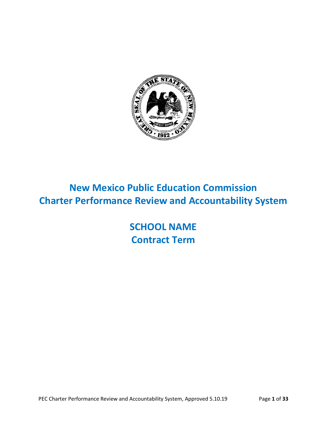

# **New Mexico Public Education Commission Charter Performance Review and Accountability System**

**SCHOOL NAME Contract Term**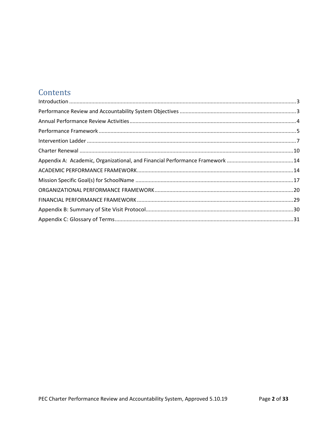## Contents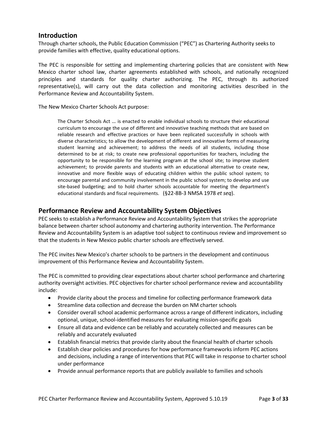### <span id="page-2-0"></span>**Introduction**

Through charter schools, the Public Education Commission ("PEC") as Chartering Authority seeks to provide families with effective, quality educational options.

The PEC is responsible for setting and implementing chartering policies that are consistent with New Mexico charter school law, charter agreements established with schools, and nationally recognized principles and standards for quality charter authorizing. The PEC, through its authorized representative(s), will carry out the data collection and monitoring activities described in the Performance Review and Accountability System.

The New Mexico Charter Schools Act purpose:

The Charter Schools Act … is enacted to enable individual schools to structure their educational curriculum to encourage the use of different and innovative teaching methods that are based on reliable research and effective practices or have been replicated successfully in schools with diverse characteristics; to allow the development of different and innovative forms of measuring student learning and achievement; to address the needs of all students, including those determined to be at risk; to create new professional opportunities for teachers, including the opportunity to be responsible for the learning program at the school site; to improve student achievement; to provide parents and students with an educational alternative to create new, innovative and more flexible ways of educating children within the public school system; to encourage parental and community involvement in the public school system; to develop and use site-based budgeting; and to hold charter schools accountable for meeting the department's educational standards and fiscal requirements. (§22-8B-3 NMSA 1978 *et seq*).

### <span id="page-2-1"></span>**Performance Review and Accountability System Objectives**

PEC seeks to establish a Performance Review and Accountability System that strikes the appropriate balance between charter school autonomy and chartering authority intervention. The Performance Review and Accountability System is an adaptive tool subject to continuous review and improvement so that the students in New Mexico public charter schools are effectively served.

The PEC invites New Mexico's charter schools to be partners in the development and continuous improvement of this Performance Review and Accountability System.

The PEC is committed to providing clear expectations about charter school performance and chartering authority oversight activities. PEC objectives for charter school performance review and accountability include:

- Provide clarity about the process and timeline for collecting performance framework data
- Streamline data collection and decrease the burden on NM charter schools
- Consider overall school academic performance across a range of different indicators, including optional, unique, school-identified measures for evaluating mission-specific goals
- Ensure all data and evidence can be reliably and accurately collected and measures can be reliably and accurately evaluated
- Establish financial metrics that provide clarity about the financial health of charter schools
- Establish clear policies and procedures for how performance frameworks inform PEC actions and decisions, including a range of interventions that PEC will take in response to charter school under performance
- Provide annual performance reports that are publicly available to families and schools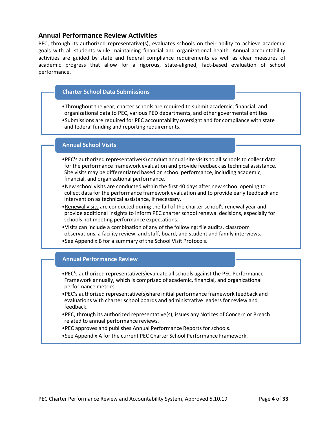### <span id="page-3-0"></span>**Annual Performance Review Activities**

PEC, through its authorized representative(s), evaluates schools on their ability to achieve academic goals with all students while maintaining financial and organizational health. Annual accountability activities are guided by state and federal compliance requirements as well as clear measures of academic progress that allow for a rigorous, state-aligned, fact-based evaluation of school performance.

#### **Charter School Data Submissions**

- •Throughout the year, charter schools are required to submit academic, financial, and organizational data to PEC, various PED departments, and other govermental entities.
- •Submissions are required for PEC accountability oversight and for compliance with state and federal funding and reporting requirements.

#### **Annual School Visits**

- •PEC's authorized representative(s) conduct annual site visits to all schools to collect data for the performance framework evaluation and provide feedback as technical assistance. Site visits may be differentiated based on school performance, including academic, financial, and organizational performance.
- •New school visits are conducted within the first 40 days after new school opening to collect data for the performance framework evaluation and to provide early feedback and intervention as technical assistance, if necessary.
- •Renewal visits are conducted during the fall of the charter school's renewal year and provide additional insights to inform PEC charter school renewal decisions, especially for schools not meeting performance expectations.
- •Visits can include a combination of any of the following: file audits, classroom observations, a facility review, and staff, board, and student and family interviews.
- •See Appendix B for a summary of the School Visit Protocols.

#### **Annual Performance Review**

- •PEC's authorized representative(s)evaluate all schools against the PEC Performance Framework annually, which is comprised of academic, financial, and organizational performance metrics.
- •PEC's authorized representative(s)share initial performance framework feedback and evaluations with charter school boards and administrative leaders for review and feedback.
- •PEC, through its authorized representative(s), issues any Notices of Concern or Breach related to annual performance reviews.
- •PEC approves and publishes Annual Performance Reports for schools.
- •See Appendix A for the current PEC Charter School Performance Framework.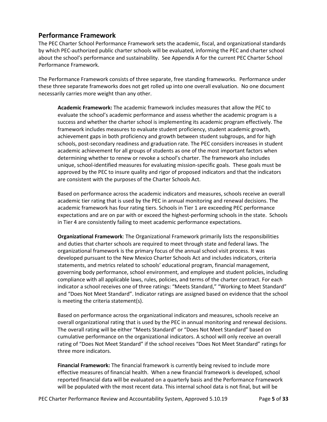## <span id="page-4-0"></span>**Performance Framework**

The PEC Charter School Performance Framework sets the academic, fiscal, and organizational standards by which PEC-authorized public charter schools will be evaluated, informing the PEC and charter school about the school's performance and sustainability. See Appendix A for the current PEC Charter School Performance Framework.

The Performance Framework consists of three separate, free standing frameworks. Performance under these three separate frameworks does not get rolled up into one overall evaluation. No one document necessarily carries more weight than any other.

**Academic Framework:** The academic framework includes measures that allow the PEC to evaluate the school's academic performance and assess whether the academic program is a success and whether the charter school is implementing its academic program effectively. The framework includes measures to evaluate student proficiency, student academic growth, achievement gaps in both proficiency and growth between student subgroups, and for high schools, post-secondary readiness and graduation rate. The PEC considers increases in student academic achievement for all groups of students as one of the most important factors when determining whether to renew or revoke a school's charter. The framework also includes unique, school-identified measures for evaluating mission-specific goals. These goals must be approved by the PEC to insure quality and rigor of proposed indicators and that the indicators are consistent with the purposes of the Charter Schools Act.

Based on performance across the academic indicators and measures, schools receive an overall academic tier rating that is used by the PEC in annual monitoring and renewal decisions. The academic framework has four rating tiers. Schools in Tier 1 are exceeding PEC performance expectations and are on par with or exceed the highest-performing schools in the state. Schools in Tier 4 are consistently failing to meet academic performance expectations.

**Organizational Framework**: The Organizational Framework primarily lists the responsibilities and duties that charter schools are required to meet through state and federal laws. The organizational framework is the primary focus of the annual school visit process. It was developed pursuant to the New Mexico Charter Schools Act and includes indicators, criteria statements, and metrics related to schools' educational program, financial management, governing body performance, school environment, and employee and student policies, including compliance with all applicable laws, rules, policies, and terms of the charter contract. For each indicator a school receives one of three ratings: "Meets Standard," "Working to Meet Standard" and "Does Not Meet Standard". Indicator ratings are assigned based on evidence that the school is meeting the criteria statement(s).

Based on performance across the organizational indicators and measures, schools receive an overall organizational rating that is used by the PEC in annual monitoring and renewal decisions. The overall rating will be either "Meets Standard" or "Does Not Meet Standard" based on cumulative performance on the organizational indicators. A school will only receive an overall rating of "Does Not Meet Standard" if the school receives "Does Not Meet Standard" ratings for three more indicators.

**Financial Framework:** The financial framework is currently being revised to include more effective measures of financial health. When a new financial framework is developed, school reported financial data will be evaluated on a quarterly basis and the Performance Framework will be populated with the most recent data. This internal school data is not final, but will be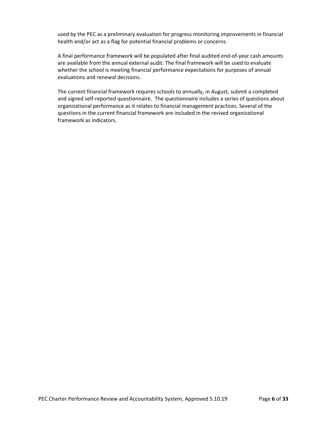used by the PEC as a preliminary evaluation for progress monitoring improvements in financial health and/or act as a flag for potential financial problems or concerns.

A final performance framework will be populated after final audited end-of-year cash amounts are available from the annual external audit. The final framework will be used to evaluate whether the school is meeting financial performance expectations for purposes of annual evaluations and renewal decisions.

The current financial framework requires schools to annually, in August, submit a completed and signed self-reported questionnaire. The questionnaire includes a series of questions about organizational performance as it relates to financial management practices. Several of the questions in the current financial framework are included in the revised organizational framework as indicators.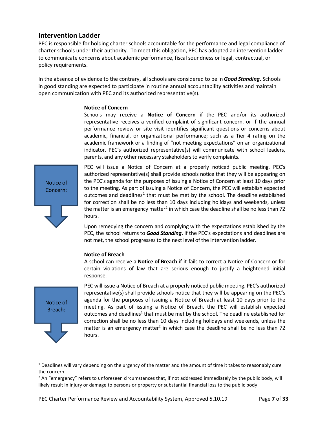### <span id="page-6-0"></span>**Intervention Ladder**

PEC is responsible for holding charter schools accountable for the performance and legal compliance of charter schools under their authority. To meet this obligation, PEC has adopted an intervention ladder to communicate concerns about academic performance, fiscal soundness or legal, contractual, or policy requirements.

In the absence of evidence to the contrary, all schools are considered to be in *Good Standing*. Schools in good standing are expected to participate in routine annual accountability activities and maintain open communication with PEC and its authorized representative(s).

#### **Notice of Concern**

Schools may receive a **Notice of Concern** if the PEC and/or its authorized representative receives a verified complaint of significant concern, or if the annual performance review or site visit identifies significant questions or concerns about academic, financial, or organizational performance; such as a Tier 4 rating on the academic framework or a finding of "not meeting expectations" on an organizational indicator. PEC's authorized representative(s) will communicate with school leaders, parents, and any other necessary stakeholders to verify complaints.

Notice of Concern:

PEC will issue a Notice of Concern at a properly noticed public meeting. PEC's authorized representative(s) shall provide schools notice that they will be appearing on the PEC's agenda for the purposes of issuing a Notice of Concern at least 10 days prior to the meeting. As part of issuing a Notice of Concern, the PEC will establish expected outcomes and deadlines<sup>[1](#page-6-1)</sup> that must be met by the school. The deadline established for correction shall be no less than 10 days including holidays and weekends, unless the matter is an emergency matter<sup>[2](#page-6-2)</sup> in which case the deadline shall be no less than 72 hours.

Upon remedying the concern and complying with the expectations established by the PEC, the school returns to *Good Standing*. If the PEC's expectations and deadlines are not met, the school progresses to the next level of the intervention ladder.

#### **Notice of Breach**

A school can receive a **Notice of Breach** if it fails to correct a Notice of Concern or for certain violations of law that are serious enough to justify a heightened initial response.



PEC will issue a Notice of Breach at a properly noticed public meeting. PEC's authorized representative(s) shall provide schools notice that they will be appearing on the PEC's agenda for the purposes of issuing a Notice of Breach at least 10 days prior to the meeting. As part of issuing a Notice of Breach, the PEC will establish expected outcomes and deadlines<sup>1</sup> that must be met by the school. The deadline established for correction shall be no less than 10 days including holidays and weekends, unless the matter is an emergency matter<sup>2</sup> in which case the deadline shall be no less than  $72$ hours.

<span id="page-6-1"></span> $1$  Deadlines will vary depending on the urgency of the matter and the amount of time it takes to reasonably cure the concern.

<span id="page-6-2"></span><sup>&</sup>lt;sup>2</sup> An "emergency" refers to unforeseen circumstances that, if not addressed immediately by the public body, will likely result in injury or damage to persons or property or substantial financial loss to the public body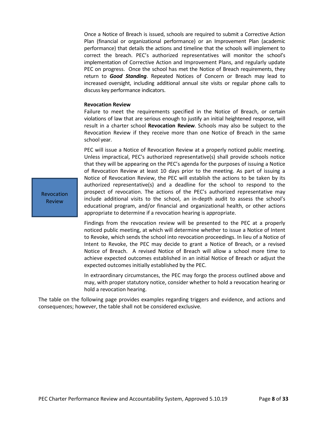Once a Notice of Breach is issued, schools are required to submit a Corrective Action Plan (financial or organizational performance) or an Improvement Plan (academic performance) that details the actions and timeline that the schools will implement to correct the breach. PEC's authorized representatives will monitor the school's implementation of Corrective Action and Improvement Plans, and regularly update PEC on progress. Once the school has met the Notice of Breach requirements, they return to *Good Standing*. Repeated Notices of Concern or Breach may lead to increased oversight, including additional annual site visits or regular phone calls to discuss key performance indicators.

#### **Revocation Review**

Failure to meet the requirements specified in the Notice of Breach, or certain violations of law that are serious enough to justify an initial heightened response, will result in a charter school **Revocation Review**. Schools may also be subject to the Revocation Review if they receive more than one Notice of Breach in the same school year.

PEC will issue a Notice of Revocation Review at a properly noticed public meeting. Unless impractical, PEC's authorized representative(s) shall provide schools notice that they will be appearing on the PEC's agenda for the purposes of issuing a Notice of Revocation Review at least 10 days prior to the meeting. As part of issuing a Notice of Revocation Review, the PEC will establish the actions to be taken by its authorized representative(s) and a deadline for the school to respond to the prospect of revocation. The actions of the PEC's authorized representative may include additional visits to the school, an in-depth audit to assess the school's educational program, and/or financial and organizational health, or other actions appropriate to determine if a revocation hearing is appropriate.

Findings from the revocation review will be presented to the PEC at a properly noticed public meeting, at which will determine whether to issue a Notice of Intent to Revoke, which sends the school into revocation proceedings. In lieu of a Notice of Intent to Revoke, the PEC may decide to grant a Notice of Breach, or a revised Notice of Breach. A revised Notice of Breach will allow a school more time to achieve expected outcomes established in an initial Notice of Breach or adjust the expected outcomes initially established by the PEC.

In extraordinary circumstances, the PEC may forgo the process outlined above and may, with proper statutory notice, consider whether to hold a revocation hearing or hold a revocation hearing.

The table on the following page provides examples regarding triggers and evidence, and actions and consequences; however, the table shall not be considered exclusive.

Revocation Review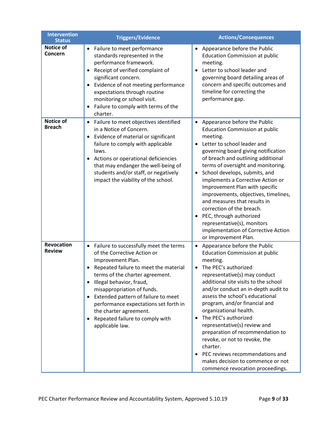| <b>Intervention</b><br><b>Status</b> | <b>Triggers/Evidence</b>                                                                                                                                                                                                                                                                                                                                                                                                                | <b>Actions/Consequences</b>                                                                                                                                                                                                                                                                                                                                                                                                                                                                                                                                                                         |
|--------------------------------------|-----------------------------------------------------------------------------------------------------------------------------------------------------------------------------------------------------------------------------------------------------------------------------------------------------------------------------------------------------------------------------------------------------------------------------------------|-----------------------------------------------------------------------------------------------------------------------------------------------------------------------------------------------------------------------------------------------------------------------------------------------------------------------------------------------------------------------------------------------------------------------------------------------------------------------------------------------------------------------------------------------------------------------------------------------------|
| <b>Notice of</b><br>Concern          | Failure to meet performance<br>$\bullet$<br>standards represented in the<br>performance framework.<br>Receipt of verified complaint of<br>$\bullet$<br>significant concern.<br>Evidence of not meeting performance<br>$\bullet$<br>expectations through routine<br>monitoring or school visit.<br>Failure to comply with terms of the<br>$\bullet$<br>charter.                                                                          | Appearance before the Public<br><b>Education Commission at public</b><br>meeting.<br>Letter to school leader and<br>governing board detailing areas of<br>concern and specific outcomes and<br>timeline for correcting the<br>performance gap.                                                                                                                                                                                                                                                                                                                                                      |
| <b>Notice of</b><br><b>Breach</b>    | Failure to meet objectives identified<br>$\bullet$<br>in a Notice of Concern.<br>Evidence of material or significant<br>$\bullet$<br>failure to comply with applicable<br>laws.<br>Actions or operational deficiencies<br>٠<br>that may endanger the well-being of<br>students and/or staff, or negatively<br>impact the viability of the school.                                                                                       | Appearance before the Public<br>$\bullet$<br><b>Education Commission at public</b><br>meeting.<br>Letter to school leader and<br>governing board giving notification<br>of breach and outlining additional<br>terms of oversight and monitoring.<br>School develops, submits, and<br>$\bullet$<br>implements a Corrective Action or<br>Improvement Plan with specific<br>improvements, objectives, timelines,<br>and measures that results in<br>correction of the breach.<br>PEC, through authorized<br>representative(s), monitors<br>implementation of Corrective Action<br>or Improvement Plan. |
| Revocation<br><b>Review</b>          | Failure to successfully meet the terms<br>$\bullet$<br>of the Corrective Action or<br>Improvement Plan.<br>Repeated failure to meet the material<br>terms of the charter agreement.<br>Illegal behavior, fraud,<br>$\bullet$<br>misappropriation of funds.<br>Extended pattern of failure to meet<br>$\bullet$<br>performance expectations set forth in<br>the charter agreement.<br>Repeated failure to comply with<br>applicable law. | Appearance before the Public<br><b>Education Commission at public</b><br>meeting.<br>The PEC's authorized<br>representative(s) may conduct<br>additional site visits to the school<br>and/or conduct an in-depth audit to<br>assess the school's educational<br>program, and/or financial and<br>organizational health.<br>The PEC's authorized<br>representative(s) review and<br>preparation of recommendation to<br>revoke, or not to revoke, the<br>charter.<br>PEC reviews recommendations and<br>makes decision to commence or not<br>commence revocation proceedings.                        |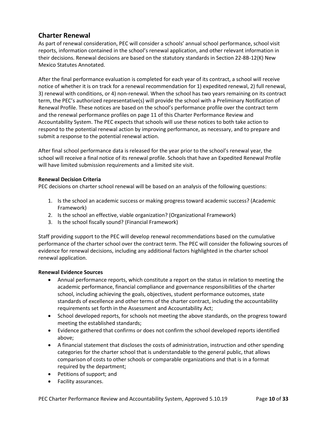## <span id="page-9-0"></span>**Charter Renewal**

As part of renewal consideration, PEC will consider a schools' annual school performance, school visit reports, information contained in the school's renewal application, and other relevant information in their decisions. Renewal decisions are based on the statutory standards in Section 22-8B-12(K) New Mexico Statutes Annotated.

After the final performance evaluation is completed for each year of its contract, a school will receive notice of whether it is on track for a renewal recommendation for 1) expedited renewal, 2) full renewal, 3) renewal with conditions, or 4) non-renewal. When the school has two years remaining on its contract term, the PEC's authorized representative(s) will provide the school with a Preliminary Notification of Renewal Profile. These notices are based on the school's performance profile over the contract term and the renewal performance profiles on page 11 of this Charter Performance Review and Accountability System. The PEC expects that schools will use these notices to both take action to respond to the potential renewal action by improving performance, as necessary, and to prepare and submit a response to the potential renewal action.

After final school performance data is released for the year prior to the school's renewal year, the school will receive a final notice of its renewal profile. Schools that have an Expedited Renewal Profile will have limited submission requirements and a limited site visit.

#### **Renewal Decision Criteria**

PEC decisions on charter school renewal will be based on an analysis of the following questions:

- 1. Is the school an academic success or making progress toward academic success? (Academic Framework)
- 2. Is the school an effective, viable organization? (Organizational Framework)
- 3. Is the school fiscally sound? (Financial Framework)

Staff providing support to the PEC will develop renewal recommendations based on the cumulative performance of the charter school over the contract term. The PEC will consider the following sources of evidence for renewal decisions, including any additional factors highlighted in the charter school renewal application.

#### **Renewal Evidence Sources**

- Annual performance reports, which constitute a report on the status in relation to meeting the academic performance, financial compliance and governance responsibilities of the charter school, including achieving the goals, objectives, student performance outcomes, state standards of excellence and other terms of the charter contract, including the accountability requirements set forth in the Assessment and Accountability Act;
- School developed reports, for schools not meeting the above standards, on the progress toward meeting the established standards;
- Evidence gathered that confirms or does not confirm the school developed reports identified above;
- A financial statement that discloses the costs of administration, instruction and other spending categories for the charter school that is understandable to the general public, that allows comparison of costs to other schools or comparable organizations and that is in a format required by the department;
- Petitions of support; and
- Facility assurances.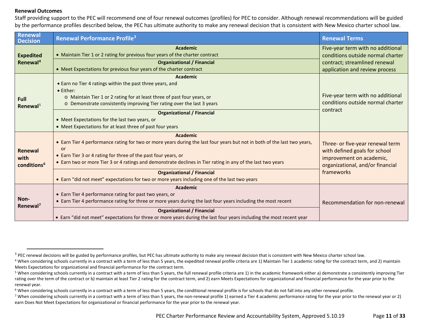#### <span id="page-10-4"></span><span id="page-10-3"></span><span id="page-10-2"></span><span id="page-10-1"></span><span id="page-10-0"></span>**Renewal Outcomes**

Staff providing support to the PEC will recommend one of four renewal outcomes (profiles) for PEC to consider. Although renewal recommendations will be guided by the performance profiles described below, the PEC has ultimate authority to make any renewal decision that is consistent with New Mexico charter school law.

| Renewal<br><b>Decision</b>                 | <b>Renewal Performance Profile<sup>3</sup></b>                                                                                                                                                                                                                                                                  | <b>Renewal Terms</b>                                                                                                              |
|--------------------------------------------|-----------------------------------------------------------------------------------------------------------------------------------------------------------------------------------------------------------------------------------------------------------------------------------------------------------------|-----------------------------------------------------------------------------------------------------------------------------------|
|                                            | <b>Academic</b>                                                                                                                                                                                                                                                                                                 | Five-year term with no additional                                                                                                 |
| <b>Expedited</b>                           | • Maintain Tier 1 or 2 rating for previous four years of the charter contract                                                                                                                                                                                                                                   | conditions outside normal charter                                                                                                 |
| Renewal <sup>4</sup>                       | <b>Organizational / Financial</b>                                                                                                                                                                                                                                                                               | contract; streamlined renewal                                                                                                     |
|                                            | • Meet Expectations for previous four years of the charter contract                                                                                                                                                                                                                                             | application and review process                                                                                                    |
| Full<br>Renewal <sup>5</sup>               | <b>Academic</b><br>• Earn no Tier 4 ratings within the past three years, and<br>• Either:<br>o Maintain Tier 1 or 2 rating for at least three of past four years, or<br>o Demonstrate consistently improving Tier rating over the last 3 years                                                                  | Five-year term with no additional<br>conditions outside normal charter                                                            |
|                                            | <b>Organizational / Financial</b><br>• Meet Expectations for the last two years, or<br>• Meet Expectations for at least three of past four years                                                                                                                                                                | contract                                                                                                                          |
|                                            | <b>Academic</b>                                                                                                                                                                                                                                                                                                 |                                                                                                                                   |
| Renewal<br>with<br>conditions <sup>6</sup> | • Earn Tier 4 performance rating for two or more years during the last four years but not in both of the last two years,<br>or<br>• Earn Tier 3 or 4 rating for three of the past four years, or<br>• Earn two or more Tier 3 or 4 ratings and demonstrate declines in Tier rating in any of the last two years | Three- or five-year renewal term<br>with defined goals for school<br>improvement on academic,<br>organizational, and/or financial |
|                                            | <b>Organizational / Financial</b><br>• Earn "did not meet" expectations for two or more years including one of the last two years                                                                                                                                                                               | frameworks                                                                                                                        |
| Non-<br>Renewal <sup>7</sup>               | <b>Academic</b><br>• Earn Tier 4 performance rating for past two years, or<br>• Earn Tier 4 performance rating for three or more years during the last four years including the most recent<br><b>Organizational / Financial</b>                                                                                | Recommendation for non-renewal                                                                                                    |
|                                            | • Earn "did not meet" expectations for three or more years during the last four years including the most recent year                                                                                                                                                                                            |                                                                                                                                   |

<sup>&</sup>lt;sup>3</sup> PEC renewal decisions will be guided by performance profiles, but PEC has ultimate authority to make any renewal decision that is consistent with New Mexico charter school law.

<sup>&</sup>lt;sup>4</sup> When considering schools currently in a contract with a term of less than 5 years, the expedited renewal profile criteria are 1) Maintain Tier 1 academic rating for the contract term, and 2) maintain Meets Expectations for organizational and financial performance for the contract term.

<sup>5</sup> When considering schools currently in a contract with a term of less than 5 years, the full renewal profile criteria are 1) in the academic framework either a) demonstrate a consistently improving Tier rating over the term of the contract or b) maintain at least Tier 2 rating for the contract term, and 2) earn Meets Expectations for organizational and financial performance for the year prior to the renewal year.

<sup>&</sup>lt;sup>6</sup> When considering schools currently in a contract with a term of less than 5 years, the conditional renewal profile is for schools that do not fall into any other renewal profile.

<sup>&</sup>lt;sup>7</sup> When considering schools currently in a contract with a term of less than 5 years, the non-renewal profile 1) earned a Tier 4 academic performance rating for the year prior to the renewal year or 2) earn Does Not Meet Expectations for organizational or financial performance for the year prior to the renewal year.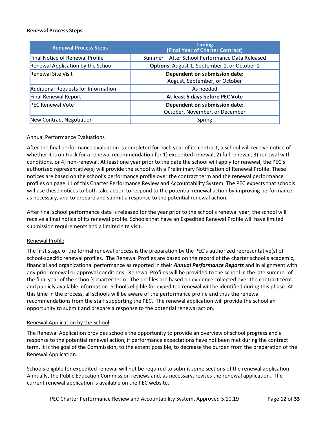#### **Renewal Process Steps**

| <b>Renewal Process Steps</b>               | <b>Timing</b><br>(Final Year of Charter Contract)              |
|--------------------------------------------|----------------------------------------------------------------|
| <b>Final Notice of Renewal Profile</b>     | Summer - After School Performance Data Released                |
| Renewal Application by the School          | Options: August 1, September 1, or October 1                   |
| <b>Renewal Site Visit</b>                  | Dependent on submission date:<br>August, September, or October |
| <b>Additional Requests for Information</b> | As needed                                                      |
| <b>Final Renewal Report</b>                | At least 5 days before PEC Vote                                |
| <b>PEC Renewal Vote</b>                    | Dependent on submission date:                                  |
|                                            | October, November, or December                                 |
| New Contract Negotiation                   | Spring                                                         |

#### Annual Performance Evaluations

After the final performance evaluation is completed for each year of its contract, a school will receive notice of whether it is on track for a renewal recommendation for 1) expedited renewal, 2) full renewal, 3) renewal with conditions, or 4) non-renewal. At least one year prior to the date the school will apply for renewal, the PEC's authorized representative(s) will provide the school with a Preliminary Notification of Renewal Profile. These notices are based on the school's performance profile over the contract term and the renewal performance profiles on page 11 of this Charter Performance Review and Accountability System. The PEC expects that schools will use these notices to both take action to respond to the potential renewal action by improving performance, as necessary, and to prepare and submit a response to the potential renewal action.

After final school performance data is released for the year prior to the school's renewal year, the school will receive a final notice of its renewal profile. Schools that have an Expedited Renewal Profile will have limited submission requirements and a limited site visit.

#### Renewal Profile

The first stage of the formal renewal process is the preparation by the PEC's authorized representative(s) of school-specific renewal profiles. The Renewal Profiles are based on the record of the charter school's academic, financial and organizational performance as reported in their *Annual Performance Reports* and in alignment with any prior renewal or approval conditions. Renewal Profiles will be provided to the school in the late summer of the final year of the school's charter term. The profiles are based on evidence collected over the contract term and publicly available information. Schools eligible for expedited renewal will be identified during this phase. At this time in the process, all schools will be aware of the performance profile and thus the renewal recommendations from the staff supporting the PEC. The renewal application will provide the school an opportunity to submit and prepare a response to the potential renewal action.

#### Renewal Application by the School

The Renewal Application provides schools the opportunity to provide an overview of school progress and a response to the potential renewal action, if performance expectations have not been met during the contract term. It is the goal of the Commission, to the extent possible, to decrease the burden from the preparation of the Renewal Application.

Schools eligible for expedited renewal will not be required to submit some sections of the renewal application. Annually, the Public Education Commission reviews and, as necessary, revises the renewal application. The current renewal application is available on the PEC website.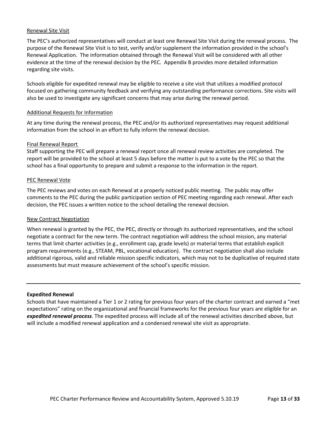#### Renewal Site Visit

The PEC's authorized representatives will conduct at least one Renewal Site Visit during the renewal process. The purpose of the Renewal Site Visit is to test, verify and/or supplement the information provided in the school's Renewal Application. The information obtained through the Renewal Visit will be considered with all other evidence at the time of the renewal decision by the PEC. Appendix B provides more detailed information regarding site visits.

Schools eligible for expedited renewal may be eligible to receive a site visit that utilizes a modified protocol focused on gathering community feedback and verifying any outstanding performance corrections. Site visits will also be used to investigate any significant concerns that may arise during the renewal period.

#### Additional Requests for Information

At any time during the renewal process, the PEC and/or its authorized representatives may request additional information from the school in an effort to fully inform the renewal decision.

#### Final Renewal Report

Staff supporting the PEC will prepare a renewal report once all renewal review activities are completed. The report will be provided to the school at least 5 days before the matter is put to a vote by the PEC so that the school has a final opportunity to prepare and submit a response to the information in the report.

#### PEC Renewal Vote

The PEC reviews and votes on each Renewal at a properly noticed public meeting. The public may offer comments to the PEC during the public participation section of PEC meeting regarding each renewal. After each decision, the PEC issues a written notice to the school detailing the renewal decision.

#### New Contract Negotiation

When renewal is granted by the PEC, the PEC, directly or through its authorized representatives, and the school negotiate a contract for the new term. The contract negotiation will address the school mission, any material terms that limit charter activities (e.g., enrollment cap, grade levels) or material terms that establish explicit program requirements (e.g., STEAM, PBL, vocational education). The contract negotiation shall also include additional rigorous, valid and reliable mission specific indicators, which may not to be duplicative of required state assessments but must measure achievement of the school's specific mission.

#### **Expedited Renewal**

Schools that have maintained a Tier 1 or 2 rating for previous four years of the charter contract and earned a "met expectations" rating on the organizational and financial frameworks for the previous four years are eligible for an *expedited renewal process*. The expedited process will include all of the renewal activities described above, but will include a modified renewal application and a condensed renewal site visit as appropriate.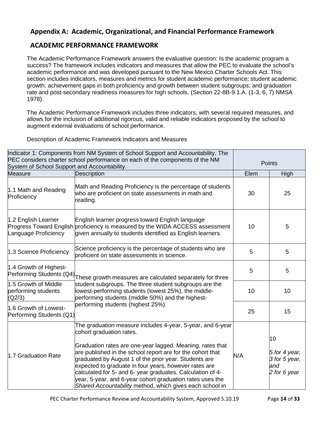## <span id="page-13-0"></span>**Appendix A: Academic, Organizational, and Financial Performance Framework**

## <span id="page-13-1"></span>**ACADEMIC PERFORMANCE FRAMEWORK**

The Academic Performance Framework answers the evaluative question: Is the academic program a success? The framework includes indicators and measures that allow the PEC to evaluate the school's academic performance and was developed pursuant to the New Mexico Charter Schools Act. This section includes indicators, measures and metrics for student academic performance; student academic growth; achievement gaps in both proficiency and growth between student subgroups; and graduation rate and post-secondary readiness measures for high schools. (Section 22-8B-9.1.A. (1-3, 6, 7) NMSA 1978).

The Academic Performance Framework includes three indicators, with several required measures, and allows for the inclusion of additional rigorous, valid and reliable indicators proposed by the school to augment external evaluations of school performance.

Description of Academic Framework Indicators and Measures

| Indicator 1: Components from NM System of School Support and Accountability. The<br>PEC considers charter school performance on each of the components of the NM<br>System of School Support and Accountability. |                                                                                                                                                                                                                                                                                                                                                                                                                                                                                                                            | <b>Points</b> |                                                             |
|------------------------------------------------------------------------------------------------------------------------------------------------------------------------------------------------------------------|----------------------------------------------------------------------------------------------------------------------------------------------------------------------------------------------------------------------------------------------------------------------------------------------------------------------------------------------------------------------------------------------------------------------------------------------------------------------------------------------------------------------------|---------------|-------------------------------------------------------------|
| <b>Measure</b>                                                                                                                                                                                                   | Description                                                                                                                                                                                                                                                                                                                                                                                                                                                                                                                | Elem          | High                                                        |
| 1.1 Math and Reading<br>Proficiency                                                                                                                                                                              | Math and Reading Proficiency is the percentage of students<br>who are proficient on state assessments in math and<br>reading.                                                                                                                                                                                                                                                                                                                                                                                              | 30            | 25                                                          |
| 1.2 English Learner<br>Language Proficiency                                                                                                                                                                      | English learner progress toward English language<br>Progress Toward English proficiency is measured by the WIDA ACCESS assessment<br>given annually to students identified as English learners.                                                                                                                                                                                                                                                                                                                            | 10            | 5                                                           |
| 1.3 Science Proficiency                                                                                                                                                                                          | Science proficiency is the percentage of students who are<br>proficient on state assessments in science.                                                                                                                                                                                                                                                                                                                                                                                                                   | 5             | 5                                                           |
| 1.4 Growth of Highest-<br>Performing Students (Q4)                                                                                                                                                               | These growth measures are calculated separately for three                                                                                                                                                                                                                                                                                                                                                                                                                                                                  | 5             | 5                                                           |
| 1.5 Growth of Middle<br>performing students<br>(Q2/3)                                                                                                                                                            | student subgroups. The three student subgroups are the<br>lowest-performing students (lowest 25%), the middle-<br>performing students (middle 50%) and the highest-                                                                                                                                                                                                                                                                                                                                                        | 10            | 10                                                          |
| 1.6 Growth of Lowest-<br>Performing Students (Q1)                                                                                                                                                                | performing students (highest 25%).                                                                                                                                                                                                                                                                                                                                                                                                                                                                                         | 25            | 15                                                          |
| 1.7 Graduation Rate                                                                                                                                                                                              | The graduation measure includes 4-year, 5-year, and 6-year<br>cohort graduation rates.<br>Graduation rates are one-year lagged. Meaning, rates that<br>are published in the school report are for the cohort that<br>graduated by August 1 of the prior year. Students are<br>expected to graduate in four years, however rates are<br>calculated for 5- and 6- year graduates. Calculation of 4-<br>year, 5-year, and 6-year cohort graduation rates uses the<br>Shared Accountability method, which gives each school in | N/A           | 10<br>5 for 4 year,<br>3 for 5 year,<br>and<br>2 for 6 year |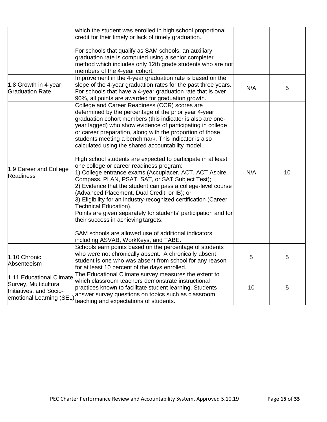|                                                                              | which the student was enrolled in high school proportional<br>credit for their timely or lack of timely graduation.                                                                                                                                                                                                                                                                                                                                                                                                                                                                                                                                                                                                                                                                                                                                                                                                                                                                                                                                          |     |    |
|------------------------------------------------------------------------------|--------------------------------------------------------------------------------------------------------------------------------------------------------------------------------------------------------------------------------------------------------------------------------------------------------------------------------------------------------------------------------------------------------------------------------------------------------------------------------------------------------------------------------------------------------------------------------------------------------------------------------------------------------------------------------------------------------------------------------------------------------------------------------------------------------------------------------------------------------------------------------------------------------------------------------------------------------------------------------------------------------------------------------------------------------------|-----|----|
|                                                                              | For schools that qualify as SAM schools, an auxiliary<br>graduation rate is computed using a senior completer<br>method which includes only 12th grade students who are not<br>members of the 4-year cohort.                                                                                                                                                                                                                                                                                                                                                                                                                                                                                                                                                                                                                                                                                                                                                                                                                                                 |     |    |
| 1.8 Growth in 4-year<br><b>Graduation Rate</b>                               | Improvement in the 4-year graduation rate is based on the<br>slope of the 4-year graduation rates for the past three years.<br>For schools that have a 4-year graduation rate that is over<br>90%, all points are awarded for graduation growth.                                                                                                                                                                                                                                                                                                                                                                                                                                                                                                                                                                                                                                                                                                                                                                                                             | N/A | 5  |
| 1.9 Career and College<br><b>Readiness</b>                                   | College and Career Readiness (CCR) scores are<br>determined by the percentage of the prior year 4-year<br>graduation cohort members (this indicator is also are one-<br>year lagged) who show evidence of participating in college<br>or career preparation, along with the proportion of those<br>students meeting a benchmark. This indicator is also<br>calculated using the shared accountability model.<br>High school students are expected to participate in at least<br>one college or career readiness program:<br>1) College entrance exams (Accuplacer, ACT, ACT Aspire,<br>Compass, PLAN, PSAT, SAT, or SAT Subject Test);<br>2) Evidence that the student can pass a college-level course<br>(Advanced Placement, Dual Credit, or IB); or<br>3) Eligibility for an industry-recognized certification (Career<br>Technical Education).<br>Points are given separately for students' participation and for<br>their success in achieving targets.<br>SAM schools are allowed use of additional indicators<br>including ASVAB, WorkKeys, and TABE. | N/A | 10 |
| 1.10 Chronic<br>Absenteeism                                                  | Schools earn points based on the percentage of students<br>who were not chronically absent. A chronically absent<br>student is one who was absent from school for any reason<br>for at least 10 percent of the days enrolled.                                                                                                                                                                                                                                                                                                                                                                                                                                                                                                                                                                                                                                                                                                                                                                                                                                | 5   | 5  |
| 1.11 Educational Climate<br>Survey, Multicultural<br>Initiatives, and Socio- | The Educational Climate survey measures the extent to<br>which classroom teachers demonstrate instructional<br>practices known to facilitate student learning. Students<br>emotional Learning (SEL) answer survey questions on topics such as classroom<br>teaching and expectations of students.                                                                                                                                                                                                                                                                                                                                                                                                                                                                                                                                                                                                                                                                                                                                                            | 10  | 5  |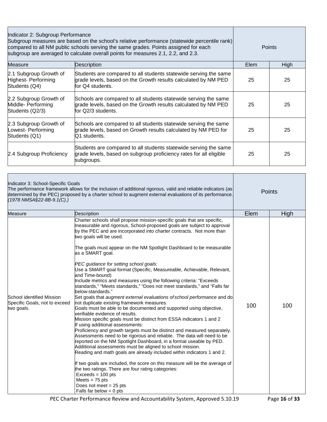| Indicator 2: Subgroup Performance<br>Subgroup measures are based on the school's relative performance (statewide percentile rank)<br>compared to all NM public schools serving the same grades. Points assigned for each<br>subgroup are averaged to calculate overall points for measures 2.1, 2.2, and 2.3. |                                                                                                                                                         | <b>Points</b> |      |
|---------------------------------------------------------------------------------------------------------------------------------------------------------------------------------------------------------------------------------------------------------------------------------------------------------------|---------------------------------------------------------------------------------------------------------------------------------------------------------|---------------|------|
| Measure                                                                                                                                                                                                                                                                                                       | Description                                                                                                                                             | Elem          | High |
| 2.1 Subgroup Growth of<br>Highest- Performing<br>Students (Q4)                                                                                                                                                                                                                                                | Students are compared to all students statewide serving the same<br>grade levels, based on the Growth results calculated by NM PED<br>for Q4 students.  | 25            | 25   |
| 2.2 Subgroup Growth of<br>Middle- Performing<br>Students (Q2/3)                                                                                                                                                                                                                                               | Schools are compared to all students statewide serving the same<br>grade levels, based on the Growth results calculated by NM PED<br>for Q2/3 students. | 25            | 25   |
| 2.3 Subgroup Growth of<br>Lowest- Performing<br>Students (Q1)                                                                                                                                                                                                                                                 | Schools are compared to all students statewide serving the same<br>grade levels, based on Growth results calculated by NM PED for<br>Q1 students.       | 25            | 25   |
| 2.4 Subgroup Proficiency                                                                                                                                                                                                                                                                                      | Students are compared to all students statewide serving the same<br>grade levels, based on subgroup proficiency rates for all eligible<br>subgroups.    | 25            | 25   |

| Indicator 3: School-Specific Goals<br>(1978 NMSA§22-8B-9.1(C).)          | The performance framework allows for the inclusion of additional rigorous, valid and reliable indicators (as<br>determined by the PEC) proposed by a charter school to augment external evaluations of its performance.                                                                                                                                                                                                                                                                                                                                                                                                                                                                                                                                                                                                                                                                                                                                                                                                                                                                                                                                                                                                                                                                                                                                                                                                                                                                                                                                                                                                     |      | Points |
|--------------------------------------------------------------------------|-----------------------------------------------------------------------------------------------------------------------------------------------------------------------------------------------------------------------------------------------------------------------------------------------------------------------------------------------------------------------------------------------------------------------------------------------------------------------------------------------------------------------------------------------------------------------------------------------------------------------------------------------------------------------------------------------------------------------------------------------------------------------------------------------------------------------------------------------------------------------------------------------------------------------------------------------------------------------------------------------------------------------------------------------------------------------------------------------------------------------------------------------------------------------------------------------------------------------------------------------------------------------------------------------------------------------------------------------------------------------------------------------------------------------------------------------------------------------------------------------------------------------------------------------------------------------------------------------------------------------------|------|--------|
| <b>Measure</b>                                                           | Description                                                                                                                                                                                                                                                                                                                                                                                                                                                                                                                                                                                                                                                                                                                                                                                                                                                                                                                                                                                                                                                                                                                                                                                                                                                                                                                                                                                                                                                                                                                                                                                                                 | Elem | High   |
| School identified Mission<br>Specific Goals, not to exceed<br>two goals. | Charter schools shall propose mission-specific goals that are specific,<br>measurable and rigorous, School-proposed goals are subject to approval<br>by the PEC and are incorporated into charter contracts. Not more than<br>two goals will be used.<br>The goals must appear on the NM Spotlight Dashboard to be measurable<br>as a SMART goal.<br>PEC guidance for setting school goals:<br>Use a SMART goal format (Specific, Measureable, Achievable, Relevant,<br>and Time-bound)<br>Include metrics and measures using the following criteria: "Exceeds<br>standards," "Meets standards," "Does not meet standards," and "Falls far<br>below standards."<br>Set goals that augment external evaluations of school performance and do<br>not duplicate existing framework measures.<br>Goals must be able to be documented and supported using objective,<br>verifiable evidence of results.<br>Mission specific goals must be distinct from ESSA indicators 1 and 2<br>If using additional assessments:<br>Proficiency and growth targets must be distinct and measured separately.<br>Assessments need to be rigorous and reliable. The data will need to be<br>reported on the NM Spotlight Dashboard, in a format useable by PED.<br>Additional assessments must be aligned to school mission.<br>Reading and math goals are already included within indicators 1 and 2.<br>If two goals are included, the score on this measure will be the average of<br>the two ratings. There are four rating categories:<br>$Exceeds = 100 pts$<br>Meets $= 75$ pts<br>Does not meet $= 25$ pts<br>Falls far below $= 0$ pts | 100  | 100    |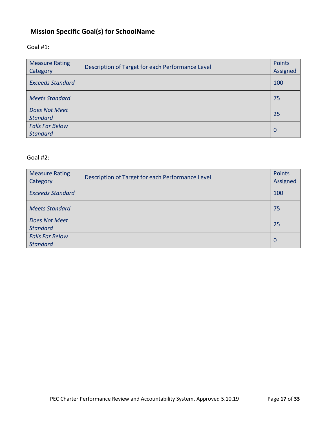## <span id="page-16-0"></span>**Mission Specific Goal(s) for SchoolName**

## Goal #1:

| <b>Measure Rating</b><br>Category         | Description of Target for each Performance Level | <b>Points</b><br>Assigned |
|-------------------------------------------|--------------------------------------------------|---------------------------|
| <b>Exceeds Standard</b>                   |                                                  | 100                       |
| <b>Meets Standard</b>                     |                                                  | 75                        |
| <b>Does Not Meet</b><br><b>Standard</b>   |                                                  | 25                        |
| <b>Falls Far Below</b><br><b>Standard</b> |                                                  | 0                         |

## Goal #2:

| <b>Measure Rating</b><br>Category         | Description of Target for each Performance Level | <b>Points</b><br>Assigned |
|-------------------------------------------|--------------------------------------------------|---------------------------|
| <b>Exceeds Standard</b>                   |                                                  | 100                       |
| <b>Meets Standard</b>                     |                                                  | 75                        |
| Does Not Meet<br><b>Standard</b>          |                                                  | 25                        |
| <b>Falls Far Below</b><br><b>Standard</b> |                                                  | 0                         |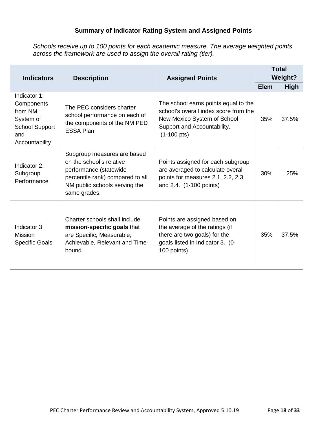## **Summary of Indicator Rating System and Assigned Points**

*Schools receive up to 100 points for each academic measure. The average weighted points across the framework are used to assign the overall rating (tier).*

| <b>Indicators</b>                                                                                    | <b>Description</b><br><b>Assigned Points</b>                                                                                                                           |                                                                                                                                                                      | <b>Total</b><br><b>Weight?</b> |             |
|------------------------------------------------------------------------------------------------------|------------------------------------------------------------------------------------------------------------------------------------------------------------------------|----------------------------------------------------------------------------------------------------------------------------------------------------------------------|--------------------------------|-------------|
|                                                                                                      |                                                                                                                                                                        |                                                                                                                                                                      | <b>Elem</b>                    | <b>High</b> |
| Indicator 1:<br>Components<br>from NM<br>System of<br><b>School Support</b><br>and<br>Accountability | The PEC considers charter<br>school performance on each of<br>the components of the NM PED<br><b>ESSA Plan</b>                                                         | The school earns points equal to the<br>school's overall index score from the<br>New Mexico System of School<br>Support and Accountability.<br>$(1-100 \text{ pts})$ | 35%                            | 37.5%       |
| Indicator 2:<br>Subgroup<br>Performance                                                              | Subgroup measures are based<br>on the school's relative<br>performance (statewide<br>percentile rank) compared to all<br>NM public schools serving the<br>same grades. | Points assigned for each subgroup<br>are averaged to calculate overall<br>points for measures 2.1, 2.2, 2.3,<br>and 2.4. (1-100 points)                              | 30%                            | 25%         |
| Indicator 3<br><b>Mission</b><br><b>Specific Goals</b>                                               | Charter schools shall include<br>mission-specific goals that<br>are Specific, Measurable,<br>Achievable, Relevant and Time-<br>bound.                                  | Points are assigned based on<br>the average of the ratings (if<br>there are two goals) for the<br>goals listed in Indicator 3. (0-<br>100 points)                    | 35%                            | 37.5%       |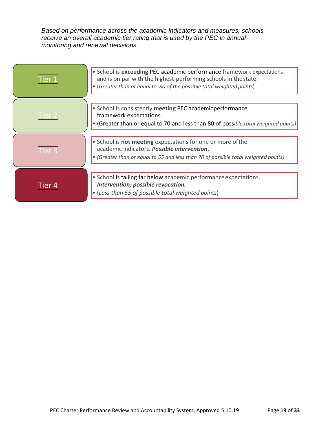*Based on performance across the academic indicators and measures, schools receive an overall academic tier rating that is used by the PEC in annual monitoring and renewal decisions.*

|            | • School is exceeding PEC academic performance framework expectations<br>and is on par with the highest-performing schools in the state.<br>• (Greater than or equal to 80 of the possible total weighted points) |
|------------|-------------------------------------------------------------------------------------------------------------------------------------------------------------------------------------------------------------------|
|            | • School is consistently meeting PEC academicperformance<br>framework expectations.<br>• (Greater than or equal to 70 and less than 80 of possible total weighted points)                                         |
|            | $\cdot$ School is not meeting expectations for one or more of the<br>academic indicators. Possible intervention.<br>• (Greater than or equal to 55 and less than 70 of possible total weighted points)            |
| <b>Ter</b> | $\cdot$ School is falling far below academic performance expectations.<br>Intervention; possible revocation.<br>$\cdot$ (Less than 55 of possible total weighted points)                                          |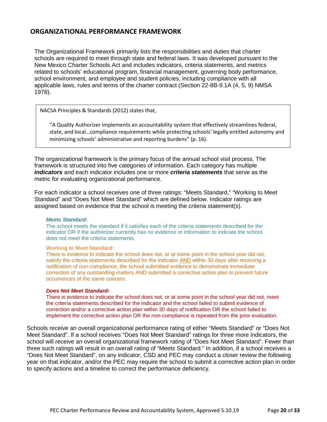## <span id="page-19-0"></span>**ORGANIZATIONAL PERFORMANCE FRAMEWORK**

The Organizational Framework primarily lists the responsibilities and duties that charter schools are required to meet through state and federal laws. It was developed pursuant to the New Mexico Charter Schools Act and includes indicators, criteria statements, and metrics related to schools' educational program, financial management, governing body performance, school environment, and employee and student policies, including compliance with all applicable laws, rules and terms of the charter contract (Section 22-8B-9.1A (4, 5, 9) NMSA 1978).

NACSA Principles & Standards (2012) states that,

"A Quality Authorizer implements an accountability system that effectively streamlines federal, state, and local…compliance requirements while protecting schools' legally entitled autonomy and minimizing schools' administrative and reporting burdens" (p. 16).

The organizational framework is the primary focus of the annual school visit process. The framework is structured into five categories of information. Each category has multiple *indicators* and each indicator includes one or more *criteria statements* that serve as the metric for evaluating organizational performance.

For each indicator a school receives one of three ratings: "Meets Standard," "Working to Meet Standard" and "Does Not Meet Standard" which are defined below. Indicator ratings are assigned based on evidence that the school is meeting the criteria statement(s).

#### *Meets Standard***:**

The school meets the standard if it satisfies each of the criteria statements described for the indicator OR if the authorizer currently has no evidence or information to indicate the school does not meet the criteria statements.

#### **Working to Meet Standard:**

There is evidence to indicate the school does not, or at some point in the school year did not, satisfy the criteria statements described for the indicator AND within 30 days after receiving a notification of non-compliance, the school submitted evidence to demonstrate immediate correction of any outstanding matters AND submitted a corrective action plan to prevent future occurrences of the same concern.

#### *Does Not Meet Standard:*

There is evidence to indicate the school does not, or at some point in the school year did not, meet the criteria statements described for the indicator and the school failed to submit evidence of correction and/or a corrective action plan within 30 days of notification OR the school failed to implement the corrective action plan OR the non-compliance is repeated from the prior evaluation.

Schools receive an overall organizational performance rating of either "Meets Standard" or "Does Not Meet Standard". If a school receives "Does Not Meet Standard" ratings for three more indicators, the school will receive an overall organizational framework rating of "Does Not Meet Standard". Fewer than three such ratings will result in an overall rating of "Meets Standard." In addition, if a school receives a "Does Not Meet Standard", on any indicator, CSD and PEC may conduct a closer review the following year on that indicator, and/or the PEC may require the school to submit a corrective action plan in order to specify actions and a timeline to correct the performance deficiency.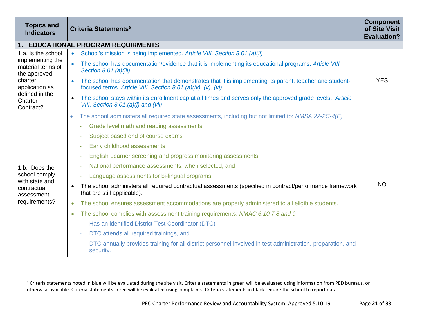<span id="page-20-0"></span>

| <b>Topics and</b><br><b>Indicators</b>                                                                                                             | Criteria Statements <sup>8</sup>                                                                                                                                                     | <b>Component</b><br>of Site Visit<br><b>Evaluation?</b> |
|----------------------------------------------------------------------------------------------------------------------------------------------------|--------------------------------------------------------------------------------------------------------------------------------------------------------------------------------------|---------------------------------------------------------|
|                                                                                                                                                    | 1. EDUCATIONAL PROGRAM REQUIRMENTS                                                                                                                                                   |                                                         |
| 1.a. Is the school<br>implementing the<br>material terms of<br>the approved<br>charter<br>application as<br>defined in the<br>Charter<br>Contract? | School's mission is being implemented. Article VIII. Section 8.01.(a)(ii)<br>$\bullet$                                                                                               | <b>YES</b>                                              |
|                                                                                                                                                    | The school has documentation/evidence that it is implementing its educational programs. Article VIII.<br>Section 8.01.(a)(iii)                                                       |                                                         |
|                                                                                                                                                    | The school has documentation that demonstrates that it is implementing its parent, teacher and student-<br>$\bullet$<br>focused terms. Article VIII. Section 8.01.(a)(iv), (v), (vi) |                                                         |
|                                                                                                                                                    | The school stays within its enrollment cap at all times and serves only the approved grade levels. Article<br>$\bullet$<br>VIII. Section 8.01.(a)(i) and (vii)                       |                                                         |
|                                                                                                                                                    | The school administers all required state assessments, including but not limited to: NMSA 22-2C-4(E)<br>$\bullet$                                                                    | <b>NO</b>                                               |
|                                                                                                                                                    | Grade level math and reading assessments                                                                                                                                             |                                                         |
|                                                                                                                                                    | Subject based end of course exams<br>٠                                                                                                                                               |                                                         |
|                                                                                                                                                    | Early childhood assessments<br>٠                                                                                                                                                     |                                                         |
|                                                                                                                                                    | English Learner screening and progress monitoring assessments<br>٠                                                                                                                   |                                                         |
| 1.b. Does the                                                                                                                                      | National performance assessments, when selected, and<br>٠                                                                                                                            |                                                         |
| school comply                                                                                                                                      | Language assessments for bi-lingual programs.<br>ä,                                                                                                                                  |                                                         |
| with state and<br>contractual<br>assessment                                                                                                        | The school administers all required contractual assessments (specified in contract/performance framework<br>$\bullet$<br>that are still applicable).                                 |                                                         |
| requirements?                                                                                                                                      | The school ensures assessment accommodations are properly administered to all eligible students.<br>$\bullet$                                                                        |                                                         |
|                                                                                                                                                    | The school complies with assessment training requirements: NMAC 6.10.7.8 and 9<br>$\bullet$                                                                                          |                                                         |
|                                                                                                                                                    | Has an identified District Test Coordinator (DTC)<br>٠                                                                                                                               |                                                         |
|                                                                                                                                                    | DTC attends all required trainings, and                                                                                                                                              |                                                         |
|                                                                                                                                                    | DTC annually provides training for all district personnel involved in test administration, preparation, and<br>security.                                                             |                                                         |

<sup>&</sup>lt;sup>8</sup> Criteria statements noted in blue will be evaluated during the site visit. Criteria statements in green will be evaluated using information from PED bureaus, or otherwise available. Criteria statements in red will be evaluated using complaints. Criteria statements in black require the school to report data.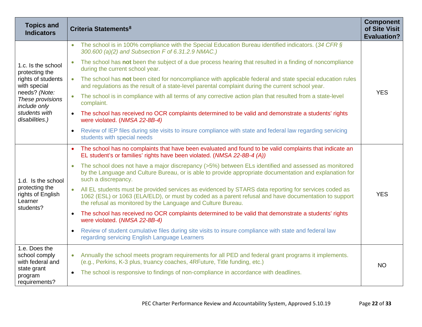| <b>Topics and</b><br><b>Indicators</b>                                                        | Criteria Statements <sup>8</sup>                                                                                                                                                                                                                                                          | <b>Component</b><br>of Site Visit<br><b>Evaluation?</b> |
|-----------------------------------------------------------------------------------------------|-------------------------------------------------------------------------------------------------------------------------------------------------------------------------------------------------------------------------------------------------------------------------------------------|---------------------------------------------------------|
| 1.c. Is the school<br>protecting the<br>rights of students<br>with special                    | The school is in 100% compliance with the Special Education Bureau identified indicators. (34 CFR §<br>$\bullet$<br>300.600 (a)(2) and Subsection F of 6.31.2.9 NMAC.)                                                                                                                    |                                                         |
|                                                                                               | The school has not been the subject of a due process hearing that resulted in a finding of noncompliance<br>$\bullet$<br>during the current school year.                                                                                                                                  |                                                         |
|                                                                                               | • The school has not been cited for noncompliance with applicable federal and state special education rules<br>and regulations as the result of a state-level parental complaint during the current school year.                                                                          |                                                         |
| needs? (Note:<br>These provisions<br>include only                                             | The school is in compliance with all terms of any corrective action plan that resulted from a state-level<br>$\bullet$<br>complaint.                                                                                                                                                      | <b>YES</b>                                              |
| students with<br>disabilities.)                                                               | The school has received no OCR complaints determined to be valid and demonstrate a students' rights<br>$\bullet$<br>were violated. (NMSA 22-8B-4)                                                                                                                                         |                                                         |
|                                                                                               | Review of IEP files during site visits to insure compliance with state and federal law regarding servicing<br>$\bullet$<br>students with special needs                                                                                                                                    |                                                         |
| 1.d. Is the school<br>protecting the<br>rights of English<br>Learner<br>students?             | The school has no complaints that have been evaluated and found to be valid complaints that indicate an<br>$\bullet$<br>EL student's or families' rights have been violated. (NMSA 22-8B-4 (A))                                                                                           |                                                         |
|                                                                                               | The school does not have a major discrepancy (>5%) between ELs identified and assessed as monitored<br>by the Language and Culture Bureau, or is able to provide appropriate documentation and explanation for<br>such a discrepancy.                                                     |                                                         |
|                                                                                               | All EL students must be provided services as evidenced by STARS data reporting for services coded as<br>$\bullet$<br>1062 (ESL) or 1063 (ELA/ELD), or must by coded as a parent refusal and have documentation to support<br>the refusal as monitored by the Language and Culture Bureau. | <b>YES</b>                                              |
|                                                                                               | The school has received no OCR complaints determined to be valid that demonstrate a students' rights<br>$\bullet$<br>were violated. (NMSA 22-8B-4)                                                                                                                                        |                                                         |
|                                                                                               | Review of student cumulative files during site visits to insure compliance with state and federal law<br>$\bullet$<br>regarding servicing English Language Learners                                                                                                                       |                                                         |
| 1.e. Does the<br>school comply<br>with federal and<br>state grant<br>program<br>requirements? | Annually the school meets program requirements for all PED and federal grant programs it implements.<br>$\bullet$<br>(e.g., Perkins, K-3 plus, truancy coaches, 4RFuture, Title funding, etc.)                                                                                            | <b>NO</b>                                               |
|                                                                                               | The school is responsive to findings of non-compliance in accordance with deadlines.<br>$\bullet$                                                                                                                                                                                         |                                                         |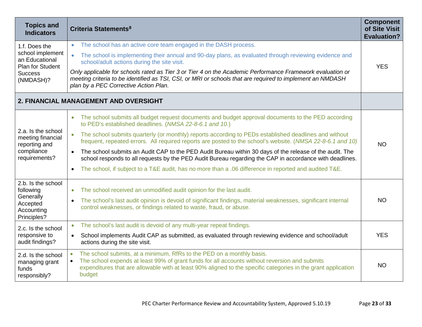| <b>Topics and</b><br><b>Indicators</b>                                                                 | Criteria Statements <sup>8</sup>                                                                                                                                                                                                                                                                               | <b>Component</b><br>of Site Visit<br><b>Evaluation?</b> |
|--------------------------------------------------------------------------------------------------------|----------------------------------------------------------------------------------------------------------------------------------------------------------------------------------------------------------------------------------------------------------------------------------------------------------------|---------------------------------------------------------|
| 1.f. Does the<br>school implement<br>an Educational<br>Plan for Student<br><b>Success</b><br>(NMDASH)? | The school has an active core team engaged in the DASH process.<br>$\bullet$                                                                                                                                                                                                                                   |                                                         |
|                                                                                                        | The school is implementing their annual and 90-day plans, as evaluated through reviewing evidence and<br>$\bullet$<br>school/adult actions during the site visit.                                                                                                                                              | <b>YES</b>                                              |
|                                                                                                        | Only applicable for schools rated as Tier 3 or Tier 4 on the Academic Performance Framework evaluation or<br>meeting criteria to be identified as TSI, CSI, or MRI or schools that are required to implement an NMDASH<br>plan by a PEC Corrective Action Plan.                                                |                                                         |
|                                                                                                        | 2. FINANCIAL MANAGEMENT AND OVERSIGHT                                                                                                                                                                                                                                                                          |                                                         |
|                                                                                                        | The school submits all budget request documents and budget approval documents to the PED according<br>$\bullet$<br>to PED's established deadlines. (NMSA 22-8-6.1 and 10.)                                                                                                                                     |                                                         |
| 2.a. Is the school<br>meeting financial<br>reporting and<br>compliance<br>requirements?                | The school submits quarterly (or monthly) reports according to PEDs established deadlines and without<br>$\bullet$<br>frequent, repeated errors. All required reports are posted to the school's website. (NMSA 22-8-6.1 and 10)                                                                               | <b>NO</b>                                               |
|                                                                                                        | The school submits an Audit CAP to the PED Audit Bureau within 30 days of the release of the audit. The<br>$\bullet$<br>school responds to all requests by the PED Audit Bureau regarding the CAP in accordance with deadlines.                                                                                |                                                         |
|                                                                                                        | The school, if subject to a T&E audit, has no more than a .06 difference in reported and audited T&E.<br>$\bullet$                                                                                                                                                                                             |                                                         |
| 2.b. Is the school<br>following                                                                        | The school received an unmodified audit opinion for the last audit.<br>$\bullet$                                                                                                                                                                                                                               |                                                         |
| Generally<br>Accepted<br>Accounting<br>Principles?                                                     | The school's last audit opinion is devoid of significant findings, material weaknesses, significant internal<br>$\bullet$<br>control weaknesses, or findings related to waste, fraud, or abuse.                                                                                                                | <b>NO</b>                                               |
| 2.c. Is the school                                                                                     | The school's last audit is devoid of any multi-year repeat findings.<br>$\bullet$                                                                                                                                                                                                                              |                                                         |
| responsive to<br>audit findings?                                                                       | School implements Audit CAP as submitted, as evaluated through reviewing evidence and school/adult<br>$\bullet$<br>actions during the site visit.                                                                                                                                                              | <b>YES</b>                                              |
| 2.d. Is the school<br>managing grant<br>funds<br>responsibly?                                          | The school submits, at a minimum, RfRs to the PED on a monthly basis.<br>$\bullet$<br>The school expends at least 99% of grant funds for all accounts without reversion and submits<br>expenditures that are allowable with at least 90% aligned to the specific categories in the grant application<br>budget | <b>NO</b>                                               |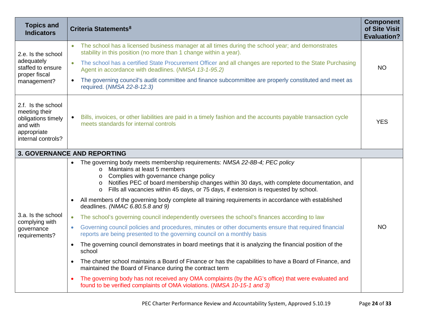| <b>Topics and</b><br><b>Indicators</b>                                                                     | Criteria Statements <sup>8</sup>                                                                                                                                                                                                                                                                                                                                                        | <b>Component</b><br>of Site Visit<br><b>Evaluation?</b> |
|------------------------------------------------------------------------------------------------------------|-----------------------------------------------------------------------------------------------------------------------------------------------------------------------------------------------------------------------------------------------------------------------------------------------------------------------------------------------------------------------------------------|---------------------------------------------------------|
| 2.e. Is the school<br>adequately<br>staffed to ensure<br>proper fiscal<br>management?                      | The school has a licensed business manager at all times during the school year; and demonstrates<br>stability in this position (no more than 1 change within a year).                                                                                                                                                                                                                   |                                                         |
|                                                                                                            | The school has a certified State Procurement Officer and all changes are reported to the State Purchasing<br>$\bullet$<br>Agent in accordance with deadlines. (NMSA 13-1-95.2)                                                                                                                                                                                                          | <b>NO</b>                                               |
|                                                                                                            | The governing council's audit committee and finance subcommittee are properly constituted and meet as<br>$\bullet$<br>required. (NMSA 22-8-12.3)                                                                                                                                                                                                                                        |                                                         |
| 2.f. Is the school<br>meeting their<br>obligations timely<br>and with<br>appropriate<br>internal controls? | Bills, invoices, or other liabilities are paid in a timely fashion and the accounts payable transaction cycle<br>meets standards for internal controls                                                                                                                                                                                                                                  | <b>YES</b>                                              |
|                                                                                                            | <b>3. GOVERNANCE AND REPORTING</b>                                                                                                                                                                                                                                                                                                                                                      |                                                         |
|                                                                                                            | • The governing body meets membership requirements: NMSA 22-8B-4; PEC policy<br>Maintains at least 5 members<br>$\circ$<br>Complies with governance change policy<br>$\circ$<br>Notifies PEC of board membership changes within 30 days, with complete documentation, and<br>$\circ$<br>Fills all vacancies within 45 days, or 75 days, if extension is requested by school.<br>$\circ$ |                                                         |
|                                                                                                            | All members of the governing body complete all training requirements in accordance with established<br>$\bullet$<br>deadlines. (NMAC 6.80.5.8 and 9)                                                                                                                                                                                                                                    |                                                         |
| 3.a. Is the school<br>complying with                                                                       | The school's governing council independently oversees the school's finances according to law<br>$\bullet$                                                                                                                                                                                                                                                                               |                                                         |
| governance<br>requirements?                                                                                | Governing council policies and procedures, minutes or other documents ensure that required financial<br>$\bullet$<br>reports are being presented to the governing council on a monthly basis                                                                                                                                                                                            | <b>NO</b>                                               |
|                                                                                                            | The governing council demonstrates in board meetings that it is analyzing the financial position of the<br>$\bullet$<br>school                                                                                                                                                                                                                                                          |                                                         |
|                                                                                                            | The charter school maintains a Board of Finance or has the capabilities to have a Board of Finance, and<br>$\bullet$<br>maintained the Board of Finance during the contract term                                                                                                                                                                                                        |                                                         |
|                                                                                                            | The governing body has not received any OMA complaints (by the AG's office) that were evaluated and<br>$\bullet$<br>found to be verified complaints of OMA violations. (NMSA 10-15-1 and 3)                                                                                                                                                                                             |                                                         |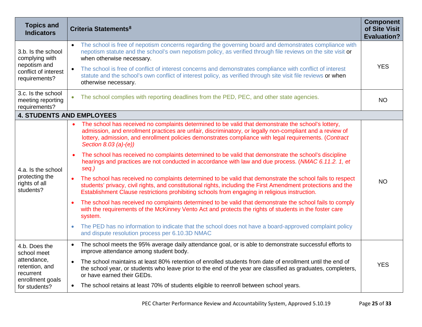| <b>Topics and</b><br><b>Indicators</b>                                                                          | Criteria Statements <sup>8</sup>                                                                                                                                                                                                                                                                                                                   | <b>Component</b><br>of Site Visit<br><b>Evaluation?</b> |
|-----------------------------------------------------------------------------------------------------------------|----------------------------------------------------------------------------------------------------------------------------------------------------------------------------------------------------------------------------------------------------------------------------------------------------------------------------------------------------|---------------------------------------------------------|
| 3.b. Is the school<br>complying with<br>nepotism and<br>conflict of interest<br>requirements?                   | The school is free of nepotism concerns regarding the governing board and demonstrates compliance with<br>$\bullet$<br>nepotism statute and the school's own nepotism policy, as verified through file reviews on the site visit or<br>when otherwise necessary.                                                                                   | <b>YES</b>                                              |
|                                                                                                                 | The school is free of conflict of interest concerns and demonstrates compliance with conflict of interest<br>$\bullet$<br>statute and the school's own conflict of interest policy, as verified through site visit file reviews or when<br>otherwise necessary.                                                                                    |                                                         |
| 3.c. Is the school<br>meeting reporting<br>requirements?                                                        | The school complies with reporting deadlines from the PED, PEC, and other state agencies.<br>$\bullet$                                                                                                                                                                                                                                             | <b>NO</b>                                               |
| <b>4. STUDENTS AND EMPLOYEES</b>                                                                                |                                                                                                                                                                                                                                                                                                                                                    |                                                         |
| 4.a. Is the school<br>protecting the<br>rights of all<br>students?                                              | The school has received no complaints determined to be valid that demonstrate the school's lottery,<br>admission, and enrollment practices are unfair, discriminatory, or legally non-compliant and a review of<br>lottery, admission, and enrollment policies demonstrates compliance with legal requirements. (Contract<br>Section 8.03 (a)-(e)) |                                                         |
|                                                                                                                 | The school has received no complaints determined to be valid that demonstrate the school's discipline<br>$\bullet$<br>hearings and practices are not conducted in accordance with law and due process. (NMAC 6.11.2. 1, et<br>seq.)                                                                                                                |                                                         |
|                                                                                                                 | The school has received no complaints determined to be valid that demonstrate the school fails to respect<br>$\bullet$<br>students' privacy, civil rights, and constitutional rights, including the First Amendment protections and the<br>Establishment Clause restrictions prohibiting schools from engaging in religious instruction.           | <b>NO</b>                                               |
|                                                                                                                 | The school has received no complaints determined to be valid that demonstrate the school fails to comply<br>with the requirements of the McKinney Vento Act and protects the rights of students in the foster care<br>system.                                                                                                                      |                                                         |
|                                                                                                                 | The PED has no information to indicate that the school does not have a board-approved complaint policy<br>and dispute resolution process per 6.10.3D NMAC                                                                                                                                                                                          |                                                         |
| 4.b. Does the<br>school meet<br>attendance,<br>retention, and<br>recurrent<br>enrollment goals<br>for students? | The school meets the 95% average daily attendance goal, or is able to demonstrate successful efforts to<br>$\bullet$<br>improve attendance among student body.                                                                                                                                                                                     |                                                         |
|                                                                                                                 | The school maintains at least 80% retention of enrolled students from date of enrollment until the end of<br>$\bullet$<br>the school year, or students who leave prior to the end of the year are classified as graduates, completers,<br>or have earned their GEDs.                                                                               | <b>YES</b>                                              |
|                                                                                                                 | The school retains at least 70% of students eligible to reenroll between school years.<br>$\bullet$                                                                                                                                                                                                                                                |                                                         |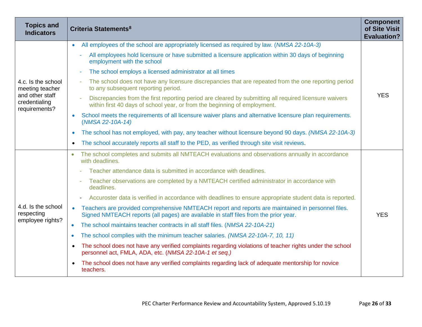| <b>Topics and</b><br><b>Indicators</b>                                                     | Criteria Statements <sup>8</sup>                                                                                                                                                                       | <b>Component</b><br>of Site Visit<br><b>Evaluation?</b> |
|--------------------------------------------------------------------------------------------|--------------------------------------------------------------------------------------------------------------------------------------------------------------------------------------------------------|---------------------------------------------------------|
| 4.c. Is the school<br>meeting teacher<br>and other staff<br>credentialing<br>requirements? | All employees of the school are appropriately licensed as required by law. (NMSA 22-10A-3)<br>$\bullet$                                                                                                |                                                         |
|                                                                                            | All employees hold licensure or have submitted a licensure application within 30 days of beginning<br>employment with the school                                                                       |                                                         |
|                                                                                            | The school employs a licensed administrator at all times                                                                                                                                               | <b>YES</b>                                              |
|                                                                                            | The school does not have any licensure discrepancies that are repeated from the one reporting period<br>to any subsequent reporting period.                                                            |                                                         |
|                                                                                            | Discrepancies from the first reporting period are cleared by submitting all required licensure waivers<br>within first 40 days of school year, or from the beginning of employment.                    |                                                         |
|                                                                                            | School meets the requirements of all licensure waiver plans and alternative licensure plan requirements.<br>(NMSA 22-10A-14)                                                                           |                                                         |
|                                                                                            | The school has not employed, with pay, any teacher without licensure beyond 90 days. (NMSA 22-10A-3)                                                                                                   |                                                         |
|                                                                                            | The school accurately reports all staff to the PED, as verified through site visit reviews.                                                                                                            |                                                         |
|                                                                                            | The school completes and submits all NMTEACH evaluations and observations annually in accordance<br>$\bullet$<br>with deadlines.                                                                       |                                                         |
|                                                                                            | Teacher attendance data is submitted in accordance with deadlines.                                                                                                                                     |                                                         |
|                                                                                            | Teacher observations are completed by a NMTEACH certified administrator in accordance with<br>deadlines.                                                                                               |                                                         |
|                                                                                            | Accuroster data is verified in accordance with deadlines to ensure appropriate student data is reported.                                                                                               |                                                         |
| 4.d. Is the school<br>respecting<br>employee rights?                                       | Teachers are provided comprehensive NMTEACH report and reports are maintained in personnel files.<br>$\bullet$<br>Signed NMTEACH reports (all pages) are available in staff files from the prior year. | <b>YES</b>                                              |
|                                                                                            | The school maintains teacher contracts in all staff files. (NMSA 22-10A-21)<br>$\bullet$                                                                                                               |                                                         |
|                                                                                            | The school complies with the minimum teacher salaries. (NMSA 22-10A-7, 10, 11)<br>$\bullet$                                                                                                            |                                                         |
|                                                                                            | The school does not have any verified complaints regarding violations of teacher rights under the school<br>personnel act, FMLA, ADA, etc. (NMSA 22-10A-1 et seq.)                                     |                                                         |
|                                                                                            | The school does not have any verified complaints regarding lack of adequate mentorship for novice<br>teachers.                                                                                         |                                                         |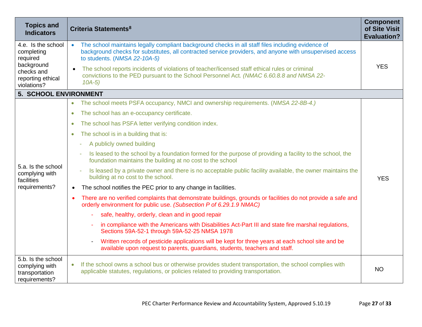| <b>Topics and</b><br><b>Indicators</b>                                                                       | <b>Criteria Statements<sup>8</sup></b>                                                                                                                                                                                                                     | <b>Component</b><br>of Site Visit<br><b>Evaluation?</b> |
|--------------------------------------------------------------------------------------------------------------|------------------------------------------------------------------------------------------------------------------------------------------------------------------------------------------------------------------------------------------------------------|---------------------------------------------------------|
| 4.e. Is the school<br>completing<br>required<br>background<br>checks and<br>reporting ethical<br>violations? | The school maintains legally compliant background checks in all staff files including evidence of<br>$\bullet$<br>background checks for substitutes, all contracted service providers, and anyone with unsupervised access<br>to students. (NMSA 22-10A-5) | <b>YES</b>                                              |
|                                                                                                              | The school reports incidents of violations of teacher/licensed staff ethical rules or criminal<br>convictions to the PED pursuant to the School Personnel Act. (NMAC 6.60.8.8 and NMSA 22-<br>$10A-5$                                                      |                                                         |
| <b>5. SCHOOL ENVIRONMENT</b>                                                                                 |                                                                                                                                                                                                                                                            |                                                         |
|                                                                                                              | The school meets PSFA occupancy, NMCI and ownership requirements. (NMSA 22-8B-4.)<br>$\bullet$                                                                                                                                                             |                                                         |
|                                                                                                              | The school has an e-occupancy certificate.<br>$\bullet$                                                                                                                                                                                                    |                                                         |
|                                                                                                              | The school has PSFA letter verifying condition index.<br>٠                                                                                                                                                                                                 | <b>YES</b>                                              |
|                                                                                                              | The school is in a building that is:<br>$\bullet$                                                                                                                                                                                                          |                                                         |
|                                                                                                              | A publicly owned building                                                                                                                                                                                                                                  |                                                         |
|                                                                                                              | Is leased to the school by a foundation formed for the purpose of providing a facility to the school, the<br>foundation maintains the building at no cost to the school                                                                                    |                                                         |
| 5.a. Is the school<br>complying with<br>facilities                                                           | Is leased by a private owner and there is no acceptable public facility available, the owner maintains the<br>building at no cost to the school.                                                                                                           |                                                         |
| requirements?                                                                                                | The school notifies the PEC prior to any change in facilities.                                                                                                                                                                                             |                                                         |
|                                                                                                              | There are no verified complaints that demonstrate buildings, grounds or facilities do not provide a safe and<br>$\bullet$<br>orderly environment for public use. (Subsection P of 6.29.1.9 NMAC)                                                           |                                                         |
|                                                                                                              | safe, healthy, orderly, clean and in good repair                                                                                                                                                                                                           |                                                         |
|                                                                                                              | in compliance with the Americans with Disabilities Act-Part III and state fire marshal regulations,<br>Sections 59A-52-1 through 59A-52-25 NMSA 1978                                                                                                       |                                                         |
|                                                                                                              | Written records of pesticide applications will be kept for three years at each school site and be<br>$\overline{\phantom{a}}$<br>available upon request to parents, guardians, students, teachers and staff.                                               |                                                         |
| 5.b. Is the school<br>complying with<br>transportation<br>requirements?                                      | If the school owns a school bus or otherwise provides student transportation, the school complies with<br>$\bullet$<br>applicable statutes, regulations, or policies related to providing transportation.                                                  | <b>NO</b>                                               |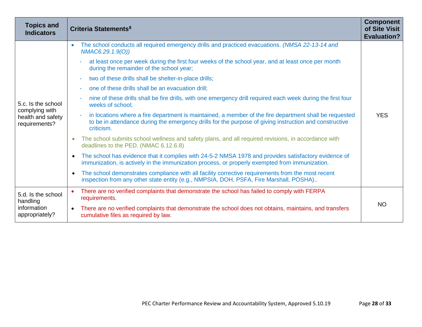| <b>Topics and</b><br><b>Indicators</b>                                     | Criteria Statements <sup>8</sup>                                                                                                                                                                                                    | <b>Component</b><br>of Site Visit<br><b>Evaluation?</b> |
|----------------------------------------------------------------------------|-------------------------------------------------------------------------------------------------------------------------------------------------------------------------------------------------------------------------------------|---------------------------------------------------------|
|                                                                            | The school conducts all required emergency drills and practiced evacuations. (NMSA 22-13-14 and<br>$\bullet$<br>NMAC6.29.1.9(O))                                                                                                    | <b>YES</b>                                              |
|                                                                            | at least once per week during the first four weeks of the school year, and at least once per month<br>during the remainder of the school year;                                                                                      |                                                         |
|                                                                            | two of these drills shall be shelter-in-place drills;<br>٠                                                                                                                                                                          |                                                         |
|                                                                            | one of these drills shall be an evacuation drill;                                                                                                                                                                                   |                                                         |
| 5.c. Is the school<br>complying with<br>health and safety<br>requirements? | nine of these drills shall be fire drills, with one emergency drill required each week during the first four<br>٠<br>weeks of school;                                                                                               |                                                         |
|                                                                            | in locations where a fire department is maintained, a member of the fire department shall be requested<br>÷<br>to be in attendance during the emergency drills for the purpose of giving instruction and constructive<br>criticism. |                                                         |
|                                                                            | The school submits school wellness and safety plans, and all required revisions, in accordance with<br>deadlines to the PED. (NMAC 6.12.6.8)                                                                                        |                                                         |
|                                                                            | The school has evidence that it complies with 24-5-2 NMSA 1978 and provides satisfactory evidence of<br>immunization, is actively in the immunization process, or properly exempted from immunization.                              |                                                         |
|                                                                            | The school demonstrates compliance with all facility corrective requirements from the most recent<br>inspection from any other state entity (e.g., NMPSIA, DOH, PSFA, Fire Marshall, POSHA)                                         |                                                         |
| 5.d. Is the school<br>handling<br>information<br>appropriately?            | There are no verified complaints that demonstrate the school has failed to comply with FERPA<br>$\bullet$<br>requirements.                                                                                                          |                                                         |
|                                                                            | There are no verified complaints that demonstrate the school does not obtains, maintains, and transfers<br>$\bullet$<br>cumulative files as required by law.                                                                        | <b>NO</b>                                               |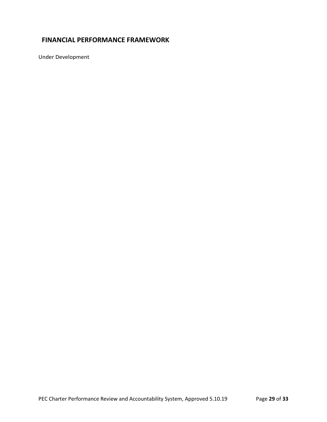## <span id="page-28-0"></span>**FINANCIAL PERFORMANCE FRAMEWORK**

Under Development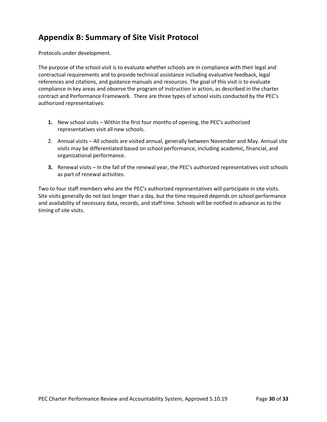## <span id="page-29-0"></span>**Appendix B: Summary of Site Visit Protocol**

Protocols under development.

The purpose of the school visit is to evaluate whether schools are in compliance with their legal and contractual requirements and to provide technical assistance including evaluative feedback, legal references and citations, and guidance manuals and resources. The goal of this visit is to evaluate compliance in key areas and observe the program of instruction in action, as described in the charter contract and Performance Framework. There are three types of school visits conducted by the PEC's authorized representatives:

- **1.** New school visits Within the first four months of opening, the PEC's authorized representatives visit all new schools.
- 2. Annual visits All schools are visited annual, generally between November and May. Annual site visits may be differentiated based on school performance, including academic, financial, and organizational performance.
- **3.** Renewal visits In the fall of the renewal year, the PEC's authorized representatives visit schools as part of renewal activities.

Two to four staff members who are the PEC's authorized representatives will participate in site visits. Site visits generally do not last longer than a day, but the time required depends on school performance and availability of necessary data, records, and staff time. Schools will be notified in advance as to the timing of site visits.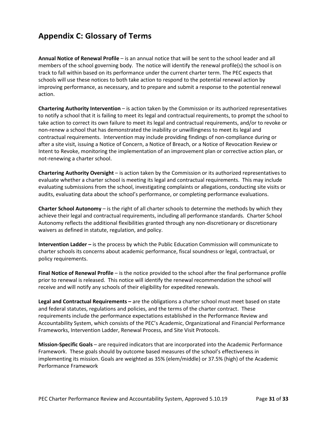## <span id="page-30-0"></span>**Appendix C: Glossary of Terms**

**Annual Notice of Renewal Profile** – is an annual notice that will be sent to the school leader and all members of the school governing body. The notice will identify the renewal profile(s) the school is on track to fall within based on its performance under the current charter term. The PEC expects that schools will use these notices to both take action to respond to the potential renewal action by improving performance, as necessary, and to prepare and submit a response to the potential renewal action.

**Chartering Authority Intervention** – is action taken by the Commission or its authorized representatives to notify a school that it is failing to meet its legal and contractual requirements, to prompt the school to take action to correct its own failure to meet its legal and contractual requirements, and/or to revoke or non-renew a school that has demonstrated the inability or unwillingness to meet its legal and contractual requirements. Intervention may include providing findings of non-compliance during or after a site visit, issuing a Notice of Concern, a Notice of Breach, or a Notice of Revocation Review or Intent to Revoke, monitoring the implementation of an improvement plan or corrective action plan, or not-renewing a charter school.

**Chartering Authority Oversight** – is action taken by the Commission or its authorized representatives to evaluate whether a charter school is meeting its legal and contractual requirements. This may include evaluating submissions from the school, investigating complaints or allegations, conducting site visits or audits, evaluating data about the school's performance, or completing performance evaluations.

**Charter School Autonomy** – is the right of all charter schools to determine the methods by which they achieve their legal and contractual requirements, including all performance standards. Charter School Autonomy reflects the additional flexibilities granted through any non-discretionary or discretionary waivers as defined in statute, regulation, and policy.

**Intervention Ladder –** is the process by which the Public Education Commission will communicate to charter schools its concerns about academic performance, fiscal soundness or legal, contractual, or policy requirements.

**Final Notice of Renewal Profile** – is the notice provided to the school after the final performance profile prior to renewal is released. This notice will identify the renewal recommendation the school will receive and will notify any schools of their eligibility for expedited renewals.

**Legal and Contractual Requirements –** are the obligations a charter school must meet based on state and federal statutes, regulations and policies, and the terms of the charter contract. These requirements include the performance expectations established in the Performance Review and Accountability System, which consists of the PEC's Academic, Organizational and Financial Performance Frameworks, Intervention Ladder, Renewal Process, and Site Visit Protocols.

**Mission-Specific Goals** – are required indicators that are incorporated into the Academic Performance Framework. These goals should by outcome based measures of the school's effectiveness in implementing its mission. Goals are weighted as 35% (elem/middle) or 37.5% (high) of the Academic Performance Framework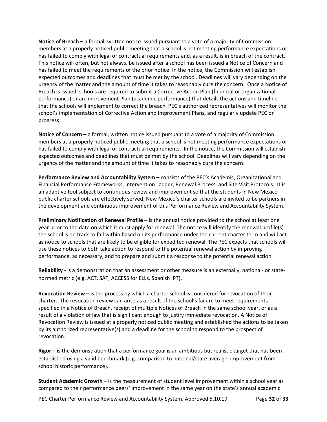**Notice of Breach –** a formal, written notice issued pursuant to a vote of a majority of Commission members at a properly noticed public meeting that a school is not meeting performance expectations or has failed to comply with legal or contractual requirements and, as a result, is in breach of the contract. This notice will often, but not always, be issued after a school has been issued a Notice of Concern and has failed to meet the requirements of the prior notice. In the notice, the Commission will establish expected outcomes and deadlines that must be met by the school. Deadlines will vary depending on the urgency of the matter and the amount of time it takes to reasonably cure the concern. Once a Notice of Breach is issued, schools are required to submit a Corrective Action Plan (financial or organizational performance) or an Improvement Plan (academic performance) that details the actions and timeline that the schools will implement to correct the breach. PEC's authorized representatives will monitor the school's implementation of Corrective Action and Improvement Plans, and regularly update PEC on progress.

**Notice of Concern –** a formal, written notice issued pursuant to a vote of a majority of Commission members at a properly noticed public meeting that a school is not meeting performance expectations or has failed to comply with legal or contractual requirements. In the notice, the Commission will establish expected outcomes and deadlines that must be met by the school. Deadlines will vary depending on the urgency of the matter and the amount of time it takes to reasonably cure the concern.

**Performance Review and Accountability System –** consists of the PEC's Academic, Organizational and Financial Performance Frameworks, Intervention Ladder, Renewal Process, and Site Visit Protocols. It is an adaptive tool subject to continuous review and improvement so that the students in New Mexico public charter schools are effectively served. New Mexico's charter schools are invited to be partners in the development and continuous improvement of this Performance Review and Accountability System.

**Preliminary Notification of Renewal Profile** – is the annual notice provided to the school at least one year prior to the date on which it must apply for renewal. The notice will identify the renewal profile(s) the school is on track to fall within based on its performance under the current charter term and will act as notice to schools that are likely to be eligible for expedited renewal. The PEC expects that schools will use these notices to both take action to respond to the potential renewal action by improving performance, as necessary, and to prepare and submit a response to the potential renewal action.

**Reliability** - is a demonstration that an assessment or other measure is an externally, national- or statenormed metric (e.g. ACT, SAT, ACCESS for ELLs, Spanish IPT).

**Revocation Review** – is the process by which a charter school is considered for revocation of their charter. The revocation review can arise as a result of the school's failure to meet requirements specified in a Notice of Breach, receipt of multiple Notices of Breach in the same school year, or as a result of a violation of law that is significant enough to justify immediate revocation. A Notice of Revocation Review is issued at a properly noticed public meeting and established the actions to be taken by its authorized representative(s) and a deadline for the school to respond to the prospect of revocation.

**Rigor** – is the demonstration that a performance goal is an ambitious but realistic target that has been established using a valid benchmark (e.g. comparison to national/state average, improvement from school historic performance).

**Student Academic Growth** – is the measurement of student level improvement within a school year as compared to their performance peers' improvement in the same year on the state's annual academic

PEC Charter Performance Review and Accountability System, Approved 5.10.19 Page **32** of **33**